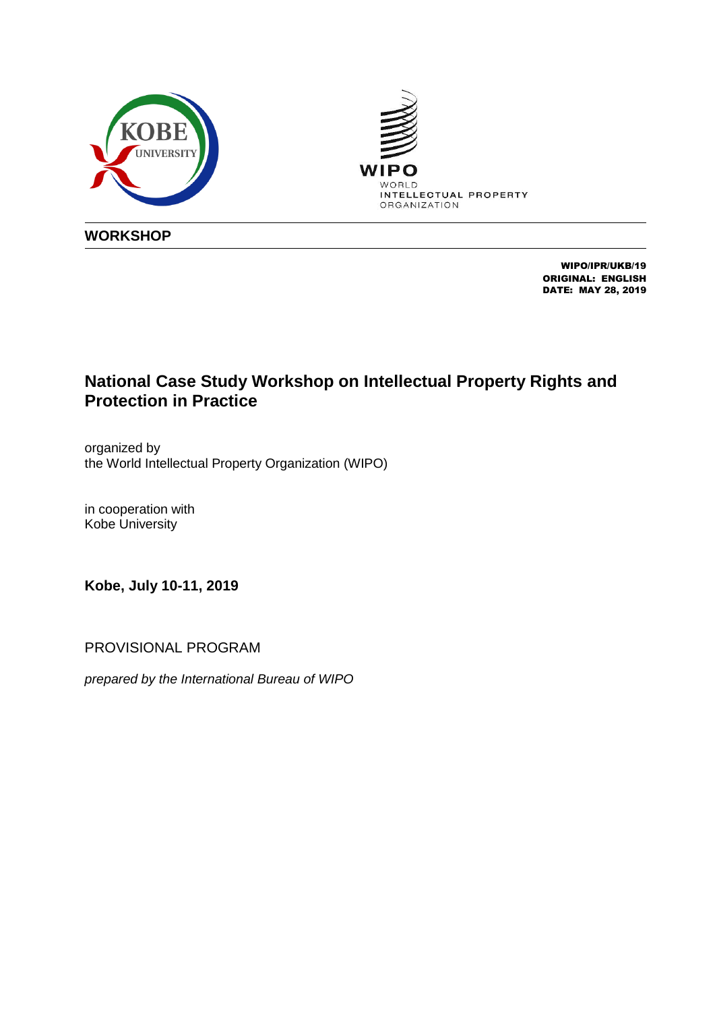



**WORKSHOP**

WIPO/IPR/UKB/19 ORIGINAL: ENGLISH DATE: MAY 28, 2019

# **National Case Study Workshop on Intellectual Property Rights and Protection in Practice**

organized by the World Intellectual Property Organization (WIPO)

in cooperation with Kobe University

**Kobe, July 10-11, 2019**

PROVISIONAL PROGRAM

*prepared by the International Bureau of WIPO*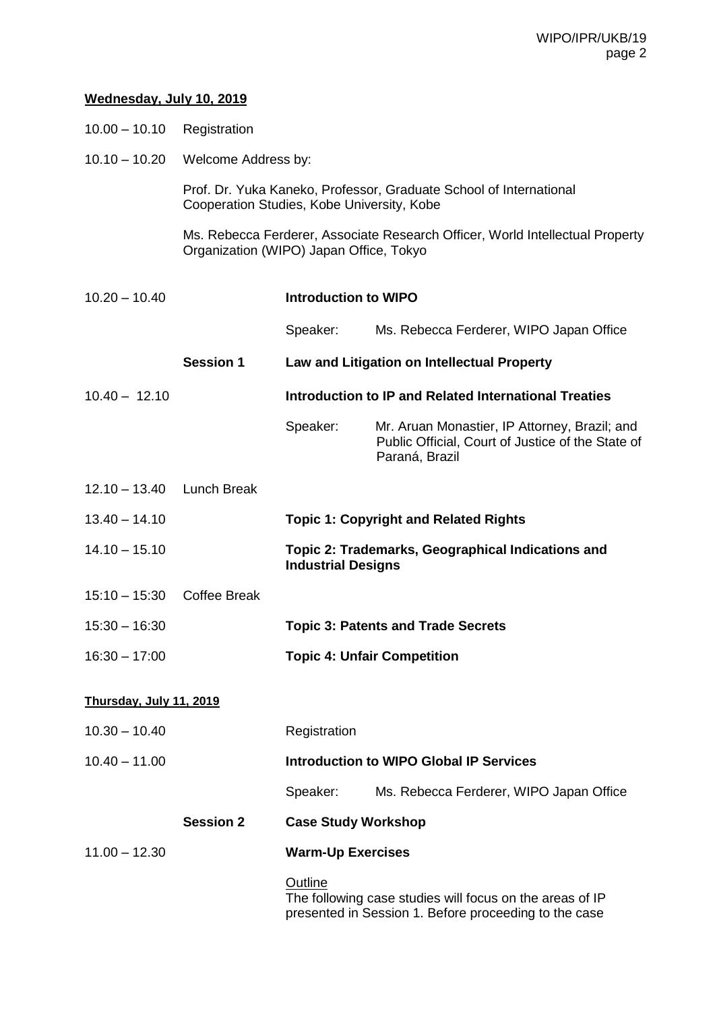## **Wednesday, July 10, 2019**

- 10.00 ‒ 10.10 Registration
- 10.10 10.20 Welcome Address by:

Prof. Dr. Yuka Kaneko, Professor, Graduate School of International Cooperation Studies, Kobe University, Kobe

Ms. Rebecca Ferderer, Associate Research Officer, World Intellectual Property Organization (WIPO) Japan Office, Tokyo

10.20 – 10.40 **Introduction to WIPO** Speaker: Ms. Rebecca Ferderer, WIPO Japan Office **Session 1 Law and Litigation on Intellectual Property** 10.40 – 12.10 **Introduction to IP and Related International Treaties** Speaker: Mr. Aruan Monastier, IP Attorney, Brazil; and Public Official, Court of Justice of the State of Paraná, Brazil 12.10 ‒ 13.40 Lunch Break 13.40 – 14.10 **Topic 1: Copyright and Related Rights** 14.10 – 15.10 **Topic 2: Trademarks, Geographical Indications and Industrial Designs** 15:10 – 15:30 Coffee Break 15:30 – 16:30 **Topic 3: Patents and Trade Secrets** 16:30 – 17:00 **Topic 4: Unfair Competition Thursday, July 11, 2019** 10.30 – 10.40 Registration 10.40 – 11.00 **Introduction to WIPO Global IP Services** Speaker: Ms. Rebecca Ferderer, WIPO Japan Office **Session 2 Case Study Workshop** 11.00 – 12.30 **Warm-Up Exercises Outline** The following case studies will focus on the areas of IP presented in Session 1. Before proceeding to the case